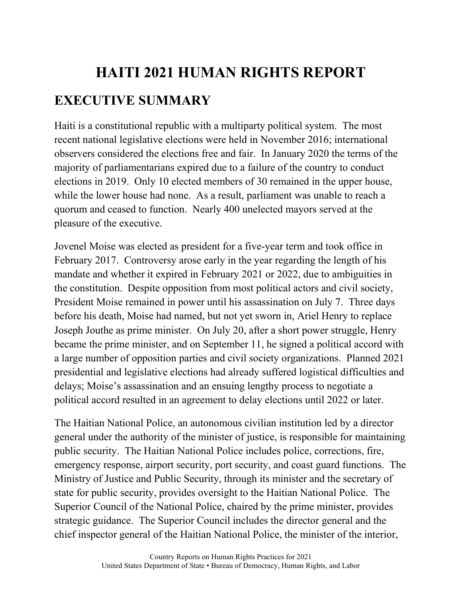# **HAITI 2021 HUMAN RIGHTS REPORT EXECUTIVE SUMMARY**

Haiti is a constitutional republic with a multiparty political system. The most recent national legislative elections were held in November 2016; international observers considered the elections free and fair. In January 2020 the terms of the majority of parliamentarians expired due to a failure of the country to conduct elections in 2019. Only 10 elected members of 30 remained in the upper house, while the lower house had none. As a result, parliament was unable to reach a quorum and ceased to function. Nearly 400 unelected mayors served at the pleasure of the executive.

Jovenel Moise was elected as president for a five-year term and took office in February 2017. Controversy arose early in the year regarding the length of his mandate and whether it expired in February 2021 or 2022, due to ambiguities in the constitution. Despite opposition from most political actors and civil society, President Moise remained in power until his assassination on July 7. Three days before his death, Moise had named, but not yet sworn in, Ariel Henry to replace Joseph Jouthe as prime minister. On July 20, after a short power struggle, Henry became the prime minister, and on September 11, he signed a political accord with a large number of opposition parties and civil society organizations. Planned 2021 presidential and legislative elections had already suffered logistical difficulties and delays; Moise's assassination and an ensuing lengthy process to negotiate a political accord resulted in an agreement to delay elections until 2022 or later.

The Haitian National Police, an autonomous civilian institution led by a director general under the authority of the minister of justice, is responsible for maintaining public security. The Haitian National Police includes police, corrections, fire, emergency response, airport security, port security, and coast guard functions. The Ministry of Justice and Public Security, through its minister and the secretary of state for public security, provides oversight to the Haitian National Police. The Superior Council of the National Police, chaired by the prime minister, provides strategic guidance. The Superior Council includes the director general and the chief inspector general of the Haitian National Police, the minister of the interior,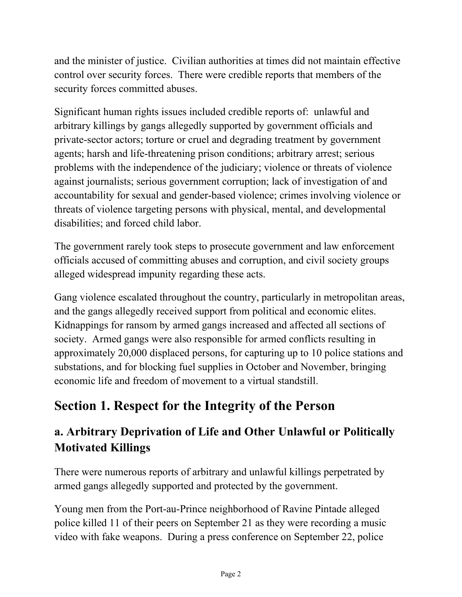and the minister of justice. Civilian authorities at times did not maintain effective control over security forces. There were credible reports that members of the security forces committed abuses.

Significant human rights issues included credible reports of: unlawful and arbitrary killings by gangs allegedly supported by government officials and private-sector actors; torture or cruel and degrading treatment by government agents; harsh and life-threatening prison conditions; arbitrary arrest; serious problems with the independence of the judiciary; violence or threats of violence against journalists; serious government corruption; lack of investigation of and accountability for sexual and gender-based violence; crimes involving violence or threats of violence targeting persons with physical, mental, and developmental disabilities; and forced child labor.

The government rarely took steps to prosecute government and law enforcement officials accused of committing abuses and corruption, and civil society groups alleged widespread impunity regarding these acts.

Gang violence escalated throughout the country, particularly in metropolitan areas, and the gangs allegedly received support from political and economic elites. Kidnappings for ransom by armed gangs increased and affected all sections of society. Armed gangs were also responsible for armed conflicts resulting in approximately 20,000 displaced persons, for capturing up to 10 police stations and substations, and for blocking fuel supplies in October and November, bringing economic life and freedom of movement to a virtual standstill.

# **Section 1. Respect for the Integrity of the Person**

# **a. Arbitrary Deprivation of Life and Other Unlawful or Politically Motivated Killings**

There were numerous reports of arbitrary and unlawful killings perpetrated by armed gangs allegedly supported and protected by the government.

Young men from the Port-au-Prince neighborhood of Ravine Pintade alleged police killed 11 of their peers on September 21 as they were recording a music video with fake weapons. During a press conference on September 22, police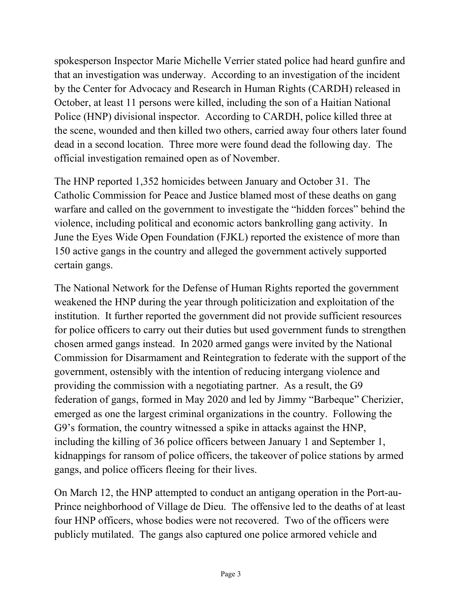spokesperson Inspector Marie Michelle Verrier stated police had heard gunfire and that an investigation was underway. According to an investigation of the incident by the Center for Advocacy and Research in Human Rights (CARDH) released in October, at least 11 persons were killed, including the son of a Haitian National Police (HNP) divisional inspector. According to CARDH, police killed three at the scene, wounded and then killed two others, carried away four others later found dead in a second location. Three more were found dead the following day. The official investigation remained open as of November.

The HNP reported 1,352 homicides between January and October 31. The Catholic Commission for Peace and Justice blamed most of these deaths on gang warfare and called on the government to investigate the "hidden forces" behind the violence, including political and economic actors bankrolling gang activity. In June the Eyes Wide Open Foundation (FJKL) reported the existence of more than 150 active gangs in the country and alleged the government actively supported certain gangs.

The National Network for the Defense of Human Rights reported the government weakened the HNP during the year through politicization and exploitation of the institution. It further reported the government did not provide sufficient resources for police officers to carry out their duties but used government funds to strengthen chosen armed gangs instead. In 2020 armed gangs were invited by the National Commission for Disarmament and Reintegration to federate with the support of the government, ostensibly with the intention of reducing intergang violence and providing the commission with a negotiating partner. As a result, the G9 federation of gangs, formed in May 2020 and led by Jimmy "Barbeque" Cherizier, emerged as one the largest criminal organizations in the country. Following the G9's formation, the country witnessed a spike in attacks against the HNP, including the killing of 36 police officers between January 1 and September 1, kidnappings for ransom of police officers, the takeover of police stations by armed gangs, and police officers fleeing for their lives.

On March 12, the HNP attempted to conduct an antigang operation in the Port-au-Prince neighborhood of Village de Dieu. The offensive led to the deaths of at least four HNP officers, whose bodies were not recovered. Two of the officers were publicly mutilated. The gangs also captured one police armored vehicle and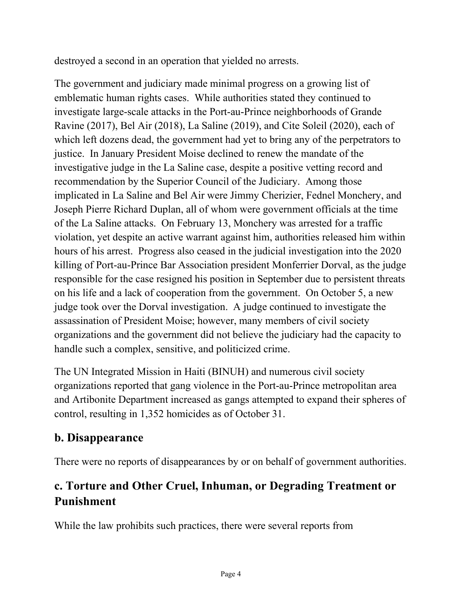destroyed a second in an operation that yielded no arrests.

The government and judiciary made minimal progress on a growing list of emblematic human rights cases. While authorities stated they continued to investigate large-scale attacks in the Port-au-Prince neighborhoods of Grande Ravine (2017), Bel Air (2018), La Saline (2019), and Cite Soleil (2020), each of which left dozens dead, the government had yet to bring any of the perpetrators to justice. In January President Moise declined to renew the mandate of the investigative judge in the La Saline case, despite a positive vetting record and recommendation by the Superior Council of the Judiciary. Among those implicated in La Saline and Bel Air were Jimmy Cherizier, Fednel Monchery, and Joseph Pierre Richard Duplan, all of whom were government officials at the time of the La Saline attacks. On February 13, Monchery was arrested for a traffic violation, yet despite an active warrant against him, authorities released him within hours of his arrest. Progress also ceased in the judicial investigation into the 2020 killing of Port-au-Prince Bar Association president Monferrier Dorval, as the judge responsible for the case resigned his position in September due to persistent threats on his life and a lack of cooperation from the government. On October 5, a new judge took over the Dorval investigation. A judge continued to investigate the assassination of President Moise; however, many members of civil society organizations and the government did not believe the judiciary had the capacity to handle such a complex, sensitive, and politicized crime.

The UN Integrated Mission in Haiti (BINUH) and numerous civil society organizations reported that gang violence in the Port-au-Prince metropolitan area and Artibonite Department increased as gangs attempted to expand their spheres of control, resulting in 1,352 homicides as of October 31.

### **b. Disappearance**

There were no reports of disappearances by or on behalf of government authorities.

# **c. Torture and Other Cruel, Inhuman, or Degrading Treatment or Punishment**

While the law prohibits such practices, there were several reports from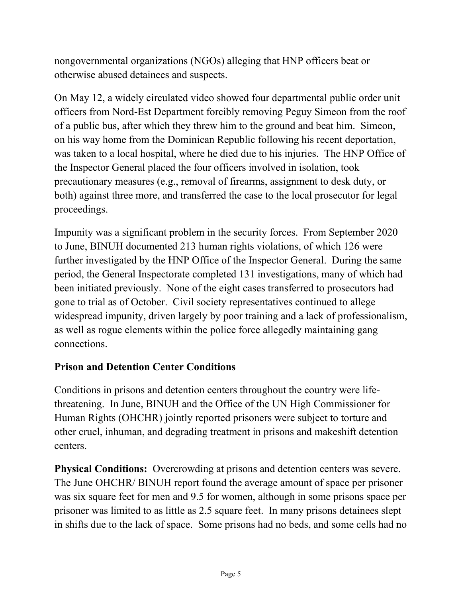nongovernmental organizations (NGOs) alleging that HNP officers beat or otherwise abused detainees and suspects.

On May 12, a widely circulated video showed four departmental public order unit officers from Nord-Est Department forcibly removing Peguy Simeon from the roof of a public bus, after which they threw him to the ground and beat him. Simeon, on his way home from the Dominican Republic following his recent deportation, was taken to a local hospital, where he died due to his injuries. The HNP Office of the Inspector General placed the four officers involved in isolation, took precautionary measures (e.g., removal of firearms, assignment to desk duty, or both) against three more, and transferred the case to the local prosecutor for legal proceedings.

Impunity was a significant problem in the security forces. From September 2020 to June, BINUH documented 213 human rights violations, of which 126 were further investigated by the HNP Office of the Inspector General. During the same period, the General Inspectorate completed 131 investigations, many of which had been initiated previously. None of the eight cases transferred to prosecutors had gone to trial as of October. Civil society representatives continued to allege widespread impunity, driven largely by poor training and a lack of professionalism, as well as rogue elements within the police force allegedly maintaining gang connections.

#### **Prison and Detention Center Conditions**

Conditions in prisons and detention centers throughout the country were lifethreatening. In June, BINUH and the Office of the UN High Commissioner for Human Rights (OHCHR) jointly reported prisoners were subject to torture and other cruel, inhuman, and degrading treatment in prisons and makeshift detention centers.

**Physical Conditions:** Overcrowding at prisons and detention centers was severe. The June OHCHR/ BINUH report found the average amount of space per prisoner was six square feet for men and 9.5 for women, although in some prisons space per prisoner was limited to as little as 2.5 square feet. In many prisons detainees slept in shifts due to the lack of space. Some prisons had no beds, and some cells had no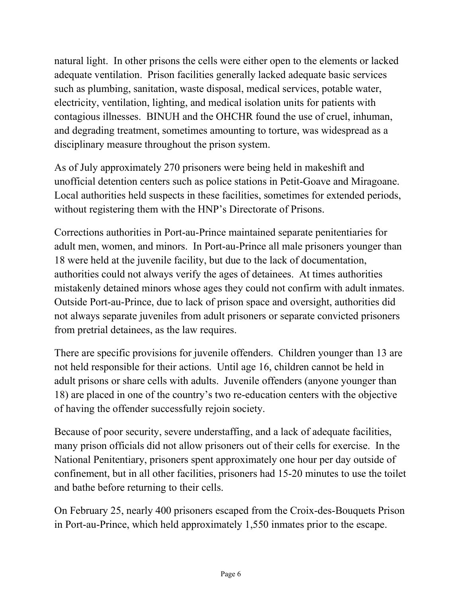natural light. In other prisons the cells were either open to the elements or lacked adequate ventilation. Prison facilities generally lacked adequate basic services such as plumbing, sanitation, waste disposal, medical services, potable water, electricity, ventilation, lighting, and medical isolation units for patients with contagious illnesses. BINUH and the OHCHR found the use of cruel, inhuman, and degrading treatment, sometimes amounting to torture, was widespread as a disciplinary measure throughout the prison system.

As of July approximately 270 prisoners were being held in makeshift and unofficial detention centers such as police stations in Petit-Goave and Miragoane. Local authorities held suspects in these facilities, sometimes for extended periods, without registering them with the HNP's Directorate of Prisons.

Corrections authorities in Port-au-Prince maintained separate penitentiaries for adult men, women, and minors. In Port-au-Prince all male prisoners younger than 18 were held at the juvenile facility, but due to the lack of documentation, authorities could not always verify the ages of detainees. At times authorities mistakenly detained minors whose ages they could not confirm with adult inmates. Outside Port-au-Prince, due to lack of prison space and oversight, authorities did not always separate juveniles from adult prisoners or separate convicted prisoners from pretrial detainees, as the law requires.

There are specific provisions for juvenile offenders. Children younger than 13 are not held responsible for their actions. Until age 16, children cannot be held in adult prisons or share cells with adults. Juvenile offenders (anyone younger than 18) are placed in one of the country's two re-education centers with the objective of having the offender successfully rejoin society.

Because of poor security, severe understaffing, and a lack of adequate facilities, many prison officials did not allow prisoners out of their cells for exercise. In the National Penitentiary, prisoners spent approximately one hour per day outside of confinement, but in all other facilities, prisoners had 15-20 minutes to use the toilet and bathe before returning to their cells.

On February 25, nearly 400 prisoners escaped from the Croix-des-Bouquets Prison in Port-au-Prince, which held approximately 1,550 inmates prior to the escape.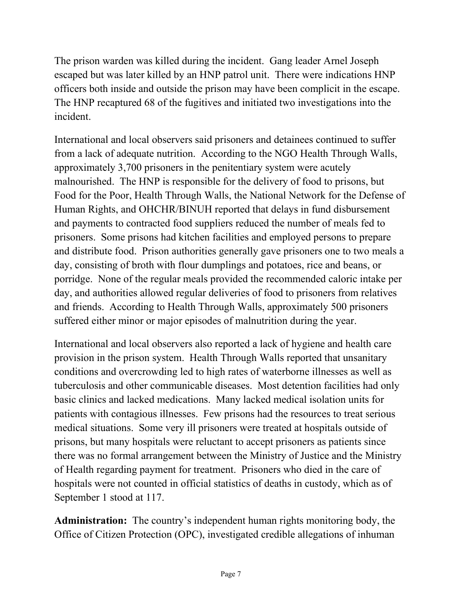The prison warden was killed during the incident. Gang leader Arnel Joseph escaped but was later killed by an HNP patrol unit. There were indications HNP officers both inside and outside the prison may have been complicit in the escape. The HNP recaptured 68 of the fugitives and initiated two investigations into the incident.

International and local observers said prisoners and detainees continued to suffer from a lack of adequate nutrition. According to the NGO Health Through Walls, approximately 3,700 prisoners in the penitentiary system were acutely malnourished. The HNP is responsible for the delivery of food to prisons, but Food for the Poor, Health Through Walls, the National Network for the Defense of Human Rights, and OHCHR/BINUH reported that delays in fund disbursement and payments to contracted food suppliers reduced the number of meals fed to prisoners. Some prisons had kitchen facilities and employed persons to prepare and distribute food. Prison authorities generally gave prisoners one to two meals a day, consisting of broth with flour dumplings and potatoes, rice and beans, or porridge. None of the regular meals provided the recommended caloric intake per day, and authorities allowed regular deliveries of food to prisoners from relatives and friends. According to Health Through Walls, approximately 500 prisoners suffered either minor or major episodes of malnutrition during the year.

International and local observers also reported a lack of hygiene and health care provision in the prison system. Health Through Walls reported that unsanitary conditions and overcrowding led to high rates of waterborne illnesses as well as tuberculosis and other communicable diseases. Most detention facilities had only basic clinics and lacked medications. Many lacked medical isolation units for patients with contagious illnesses. Few prisons had the resources to treat serious medical situations. Some very ill prisoners were treated at hospitals outside of prisons, but many hospitals were reluctant to accept prisoners as patients since there was no formal arrangement between the Ministry of Justice and the Ministry of Health regarding payment for treatment. Prisoners who died in the care of hospitals were not counted in official statistics of deaths in custody, which as of September 1 stood at 117.

**Administration:** The country's independent human rights monitoring body, the Office of Citizen Protection (OPC), investigated credible allegations of inhuman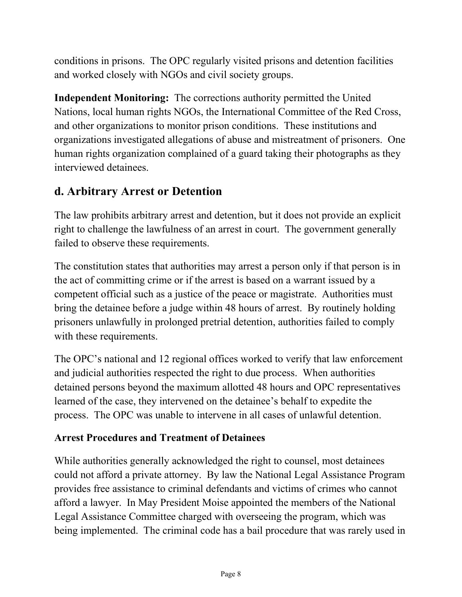conditions in prisons. The OPC regularly visited prisons and detention facilities and worked closely with NGOs and civil society groups.

**Independent Monitoring:** The corrections authority permitted the United Nations, local human rights NGOs, the International Committee of the Red Cross, and other organizations to monitor prison conditions. These institutions and organizations investigated allegations of abuse and mistreatment of prisoners. One human rights organization complained of a guard taking their photographs as they interviewed detainees.

### **d. Arbitrary Arrest or Detention**

The law prohibits arbitrary arrest and detention, but it does not provide an explicit right to challenge the lawfulness of an arrest in court. The government generally failed to observe these requirements.

The constitution states that authorities may arrest a person only if that person is in the act of committing crime or if the arrest is based on a warrant issued by a competent official such as a justice of the peace or magistrate. Authorities must bring the detainee before a judge within 48 hours of arrest. By routinely holding prisoners unlawfully in prolonged pretrial detention, authorities failed to comply with these requirements.

The OPC's national and 12 regional offices worked to verify that law enforcement and judicial authorities respected the right to due process. When authorities detained persons beyond the maximum allotted 48 hours and OPC representatives learned of the case, they intervened on the detainee's behalf to expedite the process. The OPC was unable to intervene in all cases of unlawful detention.

### **Arrest Procedures and Treatment of Detainees**

While authorities generally acknowledged the right to counsel, most detainees could not afford a private attorney. By law the National Legal Assistance Program provides free assistance to criminal defendants and victims of crimes who cannot afford a lawyer. In May President Moise appointed the members of the National Legal Assistance Committee charged with overseeing the program, which was being implemented. The criminal code has a bail procedure that was rarely used in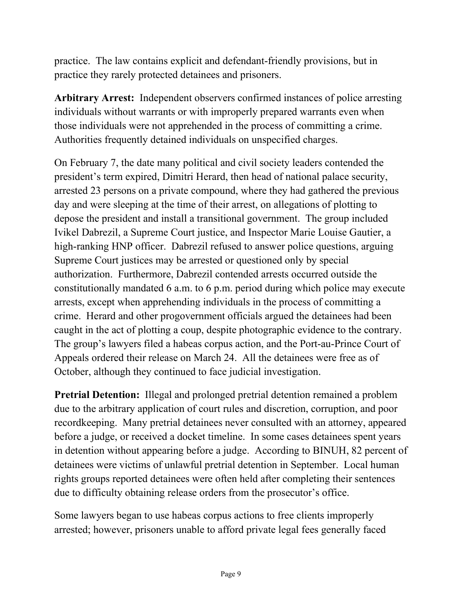practice. The law contains explicit and defendant-friendly provisions, but in practice they rarely protected detainees and prisoners.

**Arbitrary Arrest:** Independent observers confirmed instances of police arresting individuals without warrants or with improperly prepared warrants even when those individuals were not apprehended in the process of committing a crime. Authorities frequently detained individuals on unspecified charges.

On February 7, the date many political and civil society leaders contended the president's term expired, Dimitri Herard, then head of national palace security, arrested 23 persons on a private compound, where they had gathered the previous day and were sleeping at the time of their arrest, on allegations of plotting to depose the president and install a transitional government. The group included Ivikel Dabrezil, a Supreme Court justice, and Inspector Marie Louise Gautier, a high-ranking HNP officer. Dabrezil refused to answer police questions, arguing Supreme Court justices may be arrested or questioned only by special authorization. Furthermore, Dabrezil contended arrests occurred outside the constitutionally mandated 6 a.m. to 6 p.m. period during which police may execute arrests, except when apprehending individuals in the process of committing a crime. Herard and other progovernment officials argued the detainees had been caught in the act of plotting a coup, despite photographic evidence to the contrary. The group's lawyers filed a habeas corpus action, and the Port-au-Prince Court of Appeals ordered their release on March 24. All the detainees were free as of October, although they continued to face judicial investigation.

**Pretrial Detention:** Illegal and prolonged pretrial detention remained a problem due to the arbitrary application of court rules and discretion, corruption, and poor recordkeeping. Many pretrial detainees never consulted with an attorney, appeared before a judge, or received a docket timeline. In some cases detainees spent years in detention without appearing before a judge. According to BINUH, 82 percent of detainees were victims of unlawful pretrial detention in September. Local human rights groups reported detainees were often held after completing their sentences due to difficulty obtaining release orders from the prosecutor's office.

Some lawyers began to use habeas corpus actions to free clients improperly arrested; however, prisoners unable to afford private legal fees generally faced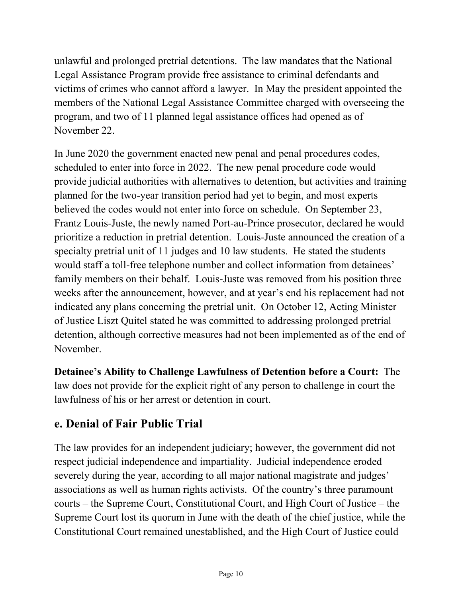unlawful and prolonged pretrial detentions. The law mandates that the National Legal Assistance Program provide free assistance to criminal defendants and victims of crimes who cannot afford a lawyer. In May the president appointed the members of the National Legal Assistance Committee charged with overseeing the program, and two of 11 planned legal assistance offices had opened as of November 22.

In June 2020 the government enacted new penal and penal procedures codes, scheduled to enter into force in 2022. The new penal procedure code would provide judicial authorities with alternatives to detention, but activities and training planned for the two-year transition period had yet to begin, and most experts believed the codes would not enter into force on schedule. On September 23, Frantz Louis-Juste, the newly named Port-au-Prince prosecutor, declared he would prioritize a reduction in pretrial detention. Louis-Juste announced the creation of a specialty pretrial unit of 11 judges and 10 law students. He stated the students would staff a toll-free telephone number and collect information from detainees' family members on their behalf. Louis-Juste was removed from his position three weeks after the announcement, however, and at year's end his replacement had not indicated any plans concerning the pretrial unit. On October 12, Acting Minister of Justice Liszt Quitel stated he was committed to addressing prolonged pretrial detention, although corrective measures had not been implemented as of the end of November.

**Detainee's Ability to Challenge Lawfulness of Detention before a Court:** The law does not provide for the explicit right of any person to challenge in court the lawfulness of his or her arrest or detention in court.

### **e. Denial of Fair Public Trial**

The law provides for an independent judiciary; however, the government did not respect judicial independence and impartiality. Judicial independence eroded severely during the year, according to all major national magistrate and judges' associations as well as human rights activists. Of the country's three paramount courts – the Supreme Court, Constitutional Court, and High Court of Justice – the Supreme Court lost its quorum in June with the death of the chief justice, while the Constitutional Court remained unestablished, and the High Court of Justice could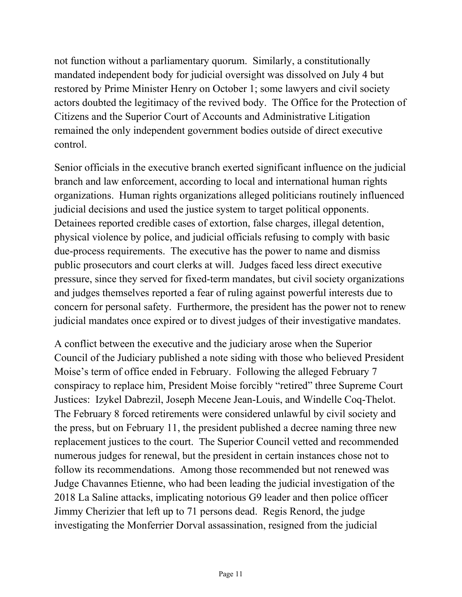not function without a parliamentary quorum. Similarly, a constitutionally mandated independent body for judicial oversight was dissolved on July 4 but restored by Prime Minister Henry on October 1; some lawyers and civil society actors doubted the legitimacy of the revived body. The Office for the Protection of Citizens and the Superior Court of Accounts and Administrative Litigation remained the only independent government bodies outside of direct executive control.

Senior officials in the executive branch exerted significant influence on the judicial branch and law enforcement, according to local and international human rights organizations. Human rights organizations alleged politicians routinely influenced judicial decisions and used the justice system to target political opponents. Detainees reported credible cases of extortion, false charges, illegal detention, physical violence by police, and judicial officials refusing to comply with basic due-process requirements. The executive has the power to name and dismiss public prosecutors and court clerks at will. Judges faced less direct executive pressure, since they served for fixed-term mandates, but civil society organizations and judges themselves reported a fear of ruling against powerful interests due to concern for personal safety. Furthermore, the president has the power not to renew judicial mandates once expired or to divest judges of their investigative mandates.

A conflict between the executive and the judiciary arose when the Superior Council of the Judiciary published a note siding with those who believed President Moise's term of office ended in February. Following the alleged February 7 conspiracy to replace him, President Moise forcibly "retired" three Supreme Court Justices: Izykel Dabrezil, Joseph Mecene Jean-Louis, and Windelle Coq-Thelot. The February 8 forced retirements were considered unlawful by civil society and the press, but on February 11, the president published a decree naming three new replacement justices to the court. The Superior Council vetted and recommended numerous judges for renewal, but the president in certain instances chose not to follow its recommendations. Among those recommended but not renewed was Judge Chavannes Etienne, who had been leading the judicial investigation of the 2018 La Saline attacks, implicating notorious G9 leader and then police officer Jimmy Cherizier that left up to 71 persons dead. Regis Renord, the judge investigating the Monferrier Dorval assassination, resigned from the judicial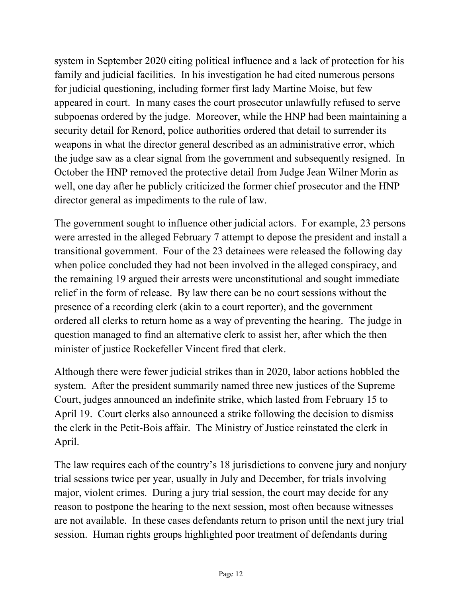system in September 2020 citing political influence and a lack of protection for his family and judicial facilities. In his investigation he had cited numerous persons for judicial questioning, including former first lady Martine Moise, but few appeared in court. In many cases the court prosecutor unlawfully refused to serve subpoenas ordered by the judge. Moreover, while the HNP had been maintaining a security detail for Renord, police authorities ordered that detail to surrender its weapons in what the director general described as an administrative error, which the judge saw as a clear signal from the government and subsequently resigned. In October the HNP removed the protective detail from Judge Jean Wilner Morin as well, one day after he publicly criticized the former chief prosecutor and the HNP director general as impediments to the rule of law.

The government sought to influence other judicial actors. For example, 23 persons were arrested in the alleged February 7 attempt to depose the president and install a transitional government. Four of the 23 detainees were released the following day when police concluded they had not been involved in the alleged conspiracy, and the remaining 19 argued their arrests were unconstitutional and sought immediate relief in the form of release. By law there can be no court sessions without the presence of a recording clerk (akin to a court reporter), and the government ordered all clerks to return home as a way of preventing the hearing. The judge in question managed to find an alternative clerk to assist her, after which the then minister of justice Rockefeller Vincent fired that clerk.

Although there were fewer judicial strikes than in 2020, labor actions hobbled the system. After the president summarily named three new justices of the Supreme Court, judges announced an indefinite strike, which lasted from February 15 to April 19. Court clerks also announced a strike following the decision to dismiss the clerk in the Petit-Bois affair. The Ministry of Justice reinstated the clerk in April.

The law requires each of the country's 18 jurisdictions to convene jury and nonjury trial sessions twice per year, usually in July and December, for trials involving major, violent crimes. During a jury trial session, the court may decide for any reason to postpone the hearing to the next session, most often because witnesses are not available. In these cases defendants return to prison until the next jury trial session. Human rights groups highlighted poor treatment of defendants during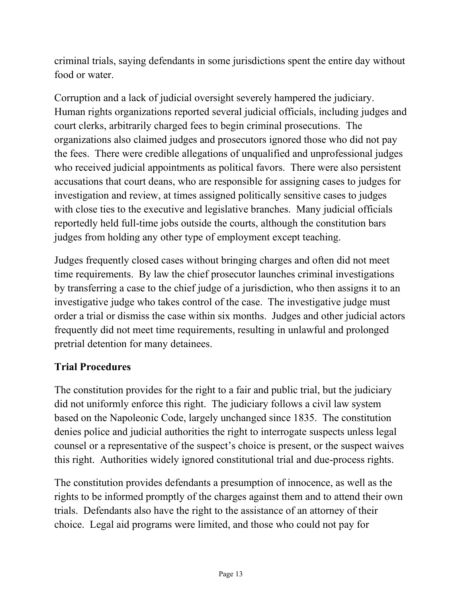criminal trials, saying defendants in some jurisdictions spent the entire day without food or water.

Corruption and a lack of judicial oversight severely hampered the judiciary. Human rights organizations reported several judicial officials, including judges and court clerks, arbitrarily charged fees to begin criminal prosecutions. The organizations also claimed judges and prosecutors ignored those who did not pay the fees. There were credible allegations of unqualified and unprofessional judges who received judicial appointments as political favors. There were also persistent accusations that court deans, who are responsible for assigning cases to judges for investigation and review, at times assigned politically sensitive cases to judges with close ties to the executive and legislative branches. Many judicial officials reportedly held full-time jobs outside the courts, although the constitution bars judges from holding any other type of employment except teaching.

Judges frequently closed cases without bringing charges and often did not meet time requirements. By law the chief prosecutor launches criminal investigations by transferring a case to the chief judge of a jurisdiction, who then assigns it to an investigative judge who takes control of the case. The investigative judge must order a trial or dismiss the case within six months. Judges and other judicial actors frequently did not meet time requirements, resulting in unlawful and prolonged pretrial detention for many detainees.

#### **Trial Procedures**

The constitution provides for the right to a fair and public trial, but the judiciary did not uniformly enforce this right. The judiciary follows a civil law system based on the Napoleonic Code, largely unchanged since 1835. The constitution denies police and judicial authorities the right to interrogate suspects unless legal counsel or a representative of the suspect's choice is present, or the suspect waives this right. Authorities widely ignored constitutional trial and due-process rights.

The constitution provides defendants a presumption of innocence, as well as the rights to be informed promptly of the charges against them and to attend their own trials. Defendants also have the right to the assistance of an attorney of their choice. Legal aid programs were limited, and those who could not pay for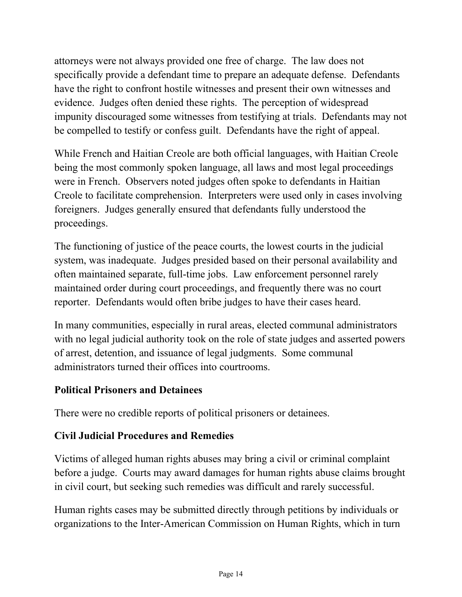attorneys were not always provided one free of charge. The law does not specifically provide a defendant time to prepare an adequate defense. Defendants have the right to confront hostile witnesses and present their own witnesses and evidence. Judges often denied these rights. The perception of widespread impunity discouraged some witnesses from testifying at trials. Defendants may not be compelled to testify or confess guilt. Defendants have the right of appeal.

While French and Haitian Creole are both official languages, with Haitian Creole being the most commonly spoken language, all laws and most legal proceedings were in French. Observers noted judges often spoke to defendants in Haitian Creole to facilitate comprehension. Interpreters were used only in cases involving foreigners. Judges generally ensured that defendants fully understood the proceedings.

The functioning of justice of the peace courts, the lowest courts in the judicial system, was inadequate. Judges presided based on their personal availability and often maintained separate, full-time jobs. Law enforcement personnel rarely maintained order during court proceedings, and frequently there was no court reporter. Defendants would often bribe judges to have their cases heard.

In many communities, especially in rural areas, elected communal administrators with no legal judicial authority took on the role of state judges and asserted powers of arrest, detention, and issuance of legal judgments. Some communal administrators turned their offices into courtrooms.

#### **Political Prisoners and Detainees**

There were no credible reports of political prisoners or detainees.

### **Civil Judicial Procedures and Remedies**

Victims of alleged human rights abuses may bring a civil or criminal complaint before a judge. Courts may award damages for human rights abuse claims brought in civil court, but seeking such remedies was difficult and rarely successful.

Human rights cases may be submitted directly through petitions by individuals or organizations to the Inter-American Commission on Human Rights, which in turn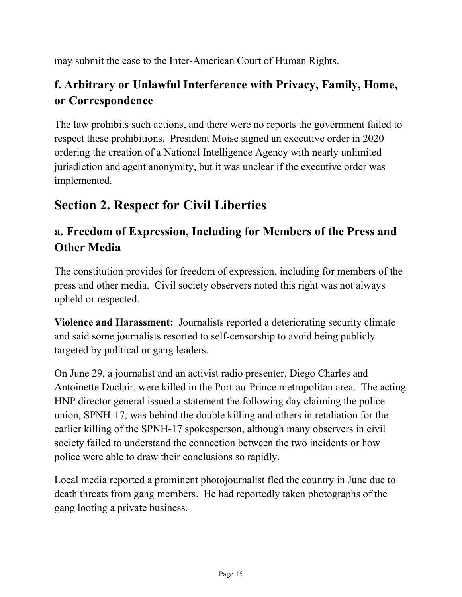may submit the case to the Inter-American Court of Human Rights.

# **f. Arbitrary or Unlawful Interference with Privacy, Family, Home, or Correspondence**

The law prohibits such actions, and there were no reports the government failed to respect these prohibitions. President Moise signed an executive order in 2020 ordering the creation of a National Intelligence Agency with nearly unlimited jurisdiction and agent anonymity, but it was unclear if the executive order was implemented.

# **Section 2. Respect for Civil Liberties**

# **a. Freedom of Expression, Including for Members of the Press and Other Media**

The constitution provides for freedom of expression, including for members of the press and other media. Civil society observers noted this right was not always upheld or respected.

**Violence and Harassment:** Journalists reported a deteriorating security climate and said some journalists resorted to self-censorship to avoid being publicly targeted by political or gang leaders.

On June 29, a journalist and an activist radio presenter, Diego Charles and Antoinette Duclair, were killed in the Port-au-Prince metropolitan area. The acting HNP director general issued a statement the following day claiming the police union, SPNH-17, was behind the double killing and others in retaliation for the earlier killing of the SPNH-17 spokesperson, although many observers in civil society failed to understand the connection between the two incidents or how police were able to draw their conclusions so rapidly.

Local media reported a prominent photojournalist fled the country in June due to death threats from gang members. He had reportedly taken photographs of the gang looting a private business.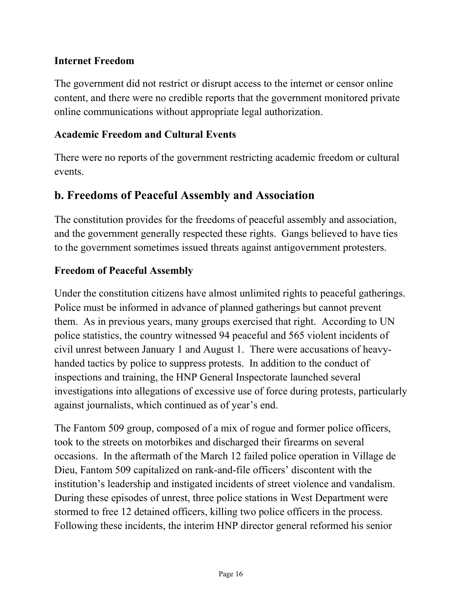#### **Internet Freedom**

The government did not restrict or disrupt access to the internet or censor online content, and there were no credible reports that the government monitored private online communications without appropriate legal authorization.

#### **Academic Freedom and Cultural Events**

There were no reports of the government restricting academic freedom or cultural events.

#### **b. Freedoms of Peaceful Assembly and Association**

The constitution provides for the freedoms of peaceful assembly and association, and the government generally respected these rights. Gangs believed to have ties to the government sometimes issued threats against antigovernment protesters.

#### **Freedom of Peaceful Assembly**

Under the constitution citizens have almost unlimited rights to peaceful gatherings. Police must be informed in advance of planned gatherings but cannot prevent them. As in previous years, many groups exercised that right. According to UN police statistics, the country witnessed 94 peaceful and 565 violent incidents of civil unrest between January 1 and August 1. There were accusations of heavyhanded tactics by police to suppress protests. In addition to the conduct of inspections and training, the HNP General Inspectorate launched several investigations into allegations of excessive use of force during protests, particularly against journalists, which continued as of year's end.

The Fantom 509 group, composed of a mix of rogue and former police officers, took to the streets on motorbikes and discharged their firearms on several occasions. In the aftermath of the March 12 failed police operation in Village de Dieu, Fantom 509 capitalized on rank-and-file officers' discontent with the institution's leadership and instigated incidents of street violence and vandalism. During these episodes of unrest, three police stations in West Department were stormed to free 12 detained officers, killing two police officers in the process. Following these incidents, the interim HNP director general reformed his senior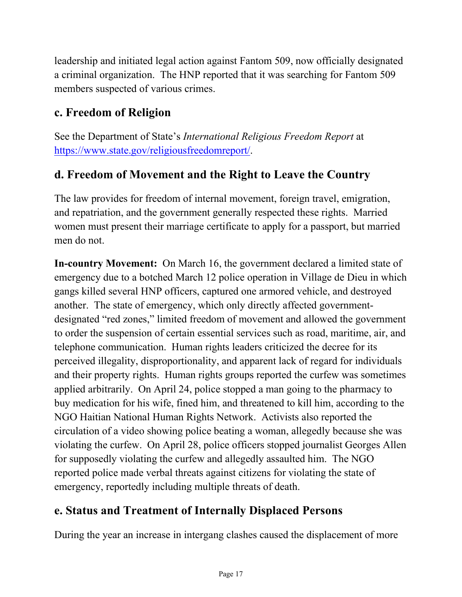leadership and initiated legal action against Fantom 509, now officially designated a criminal organization. The HNP reported that it was searching for Fantom 509 members suspected of various crimes.

# **c. Freedom of Religion**

See the Department of State's *International Religious Freedom Report* at [https://www.state.gov/religiousfreedomreport/.](https://www.state.gov/religiousfreedomreport/)

### **d. Freedom of Movement and the Right to Leave the Country**

The law provides for freedom of internal movement, foreign travel, emigration, and repatriation, and the government generally respected these rights. Married women must present their marriage certificate to apply for a passport, but married men do not.

**In-country Movement:** On March 16, the government declared a limited state of emergency due to a botched March 12 police operation in Village de Dieu in which gangs killed several HNP officers, captured one armored vehicle, and destroyed another. The state of emergency, which only directly affected governmentdesignated "red zones," limited freedom of movement and allowed the government to order the suspension of certain essential services such as road, maritime, air, and telephone communication. Human rights leaders criticized the decree for its perceived illegality, disproportionality, and apparent lack of regard for individuals and their property rights. Human rights groups reported the curfew was sometimes applied arbitrarily. On April 24, police stopped a man going to the pharmacy to buy medication for his wife, fined him, and threatened to kill him, according to the NGO Haitian National Human Rights Network. Activists also reported the circulation of a video showing police beating a woman, allegedly because she was violating the curfew. On April 28, police officers stopped journalist Georges Allen for supposedly violating the curfew and allegedly assaulted him. The NGO reported police made verbal threats against citizens for violating the state of emergency, reportedly including multiple threats of death.

### **e. Status and Treatment of Internally Displaced Persons**

During the year an increase in intergang clashes caused the displacement of more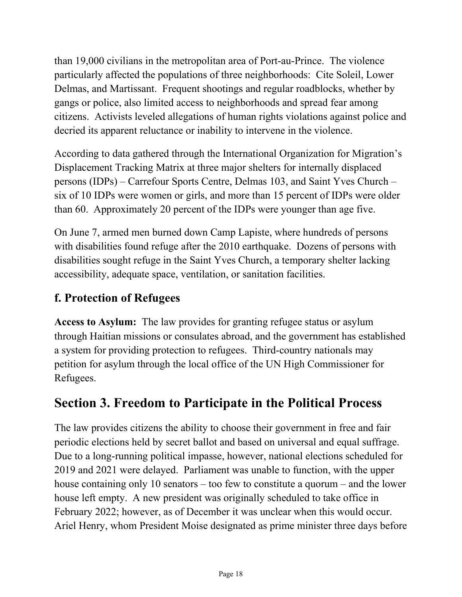than 19,000 civilians in the metropolitan area of Port-au-Prince. The violence particularly affected the populations of three neighborhoods: Cite Soleil, Lower Delmas, and Martissant. Frequent shootings and regular roadblocks, whether by gangs or police, also limited access to neighborhoods and spread fear among citizens. Activists leveled allegations of human rights violations against police and decried its apparent reluctance or inability to intervene in the violence.

According to data gathered through the International Organization for Migration's Displacement Tracking Matrix at three major shelters for internally displaced persons (IDPs) – Carrefour Sports Centre, Delmas 103, and Saint Yves Church – six of 10 IDPs were women or girls, and more than 15 percent of IDPs were older than 60. Approximately 20 percent of the IDPs were younger than age five.

On June 7, armed men burned down Camp Lapiste, where hundreds of persons with disabilities found refuge after the 2010 earthquake. Dozens of persons with disabilities sought refuge in the Saint Yves Church, a temporary shelter lacking accessibility, adequate space, ventilation, or sanitation facilities.

# **f. Protection of Refugees**

**Access to Asylum:** The law provides for granting refugee status or asylum through Haitian missions or consulates abroad, and the government has established a system for providing protection to refugees. Third-country nationals may petition for asylum through the local office of the UN High Commissioner for Refugees.

# **Section 3. Freedom to Participate in the Political Process**

The law provides citizens the ability to choose their government in free and fair periodic elections held by secret ballot and based on universal and equal suffrage. Due to a long-running political impasse, however, national elections scheduled for 2019 and 2021 were delayed. Parliament was unable to function, with the upper house containing only 10 senators – too few to constitute a quorum – and the lower house left empty. A new president was originally scheduled to take office in February 2022; however, as of December it was unclear when this would occur. Ariel Henry, whom President Moise designated as prime minister three days before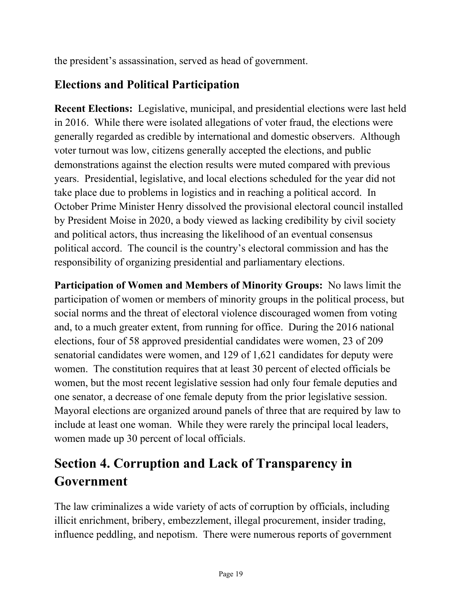the president's assassination, served as head of government.

# **Elections and Political Participation**

**Recent Elections:** Legislative, municipal, and presidential elections were last held in 2016. While there were isolated allegations of voter fraud, the elections were generally regarded as credible by international and domestic observers. Although voter turnout was low, citizens generally accepted the elections, and public demonstrations against the election results were muted compared with previous years. Presidential, legislative, and local elections scheduled for the year did not take place due to problems in logistics and in reaching a political accord. In October Prime Minister Henry dissolved the provisional electoral council installed by President Moise in 2020, a body viewed as lacking credibility by civil society and political actors, thus increasing the likelihood of an eventual consensus political accord. The council is the country's electoral commission and has the responsibility of organizing presidential and parliamentary elections.

**Participation of Women and Members of Minority Groups:** No laws limit the participation of women or members of minority groups in the political process, but social norms and the threat of electoral violence discouraged women from voting and, to a much greater extent, from running for office. During the 2016 national elections, four of 58 approved presidential candidates were women, 23 of 209 senatorial candidates were women, and 129 of 1,621 candidates for deputy were women. The constitution requires that at least 30 percent of elected officials be women, but the most recent legislative session had only four female deputies and one senator, a decrease of one female deputy from the prior legislative session. Mayoral elections are organized around panels of three that are required by law to include at least one woman. While they were rarely the principal local leaders, women made up 30 percent of local officials.

# **Section 4. Corruption and Lack of Transparency in Government**

The law criminalizes a wide variety of acts of corruption by officials, including illicit enrichment, bribery, embezzlement, illegal procurement, insider trading, influence peddling, and nepotism. There were numerous reports of government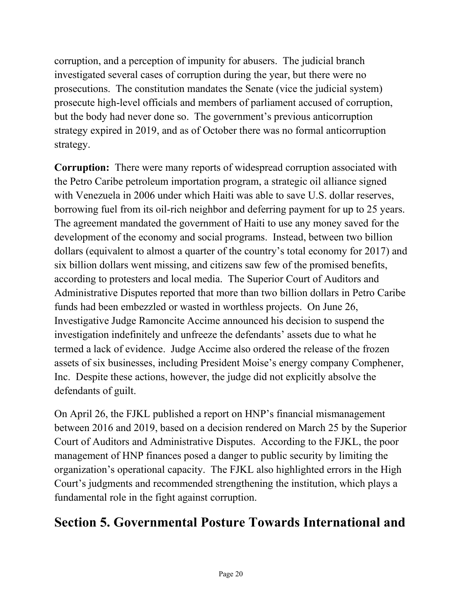corruption, and a perception of impunity for abusers. The judicial branch investigated several cases of corruption during the year, but there were no prosecutions. The constitution mandates the Senate (vice the judicial system) prosecute high-level officials and members of parliament accused of corruption, but the body had never done so. The government's previous anticorruption strategy expired in 2019, and as of October there was no formal anticorruption strategy.

**Corruption:** There were many reports of widespread corruption associated with the Petro Caribe petroleum importation program, a strategic oil alliance signed with Venezuela in 2006 under which Haiti was able to save U.S. dollar reserves, borrowing fuel from its oil-rich neighbor and deferring payment for up to 25 years. The agreement mandated the government of Haiti to use any money saved for the development of the economy and social programs. Instead, between two billion dollars (equivalent to almost a quarter of the country's total economy for 2017) and six billion dollars went missing, and citizens saw few of the promised benefits, according to protesters and local media. The Superior Court of Auditors and Administrative Disputes reported that more than two billion dollars in Petro Caribe funds had been embezzled or wasted in worthless projects. On June 26, Investigative Judge Ramoncite Accime announced his decision to suspend the investigation indefinitely and unfreeze the defendants' assets due to what he termed a lack of evidence. Judge Accime also ordered the release of the frozen assets of six businesses, including President Moise's energy company Comphener, Inc. Despite these actions, however, the judge did not explicitly absolve the defendants of guilt.

On April 26, the FJKL published a report on HNP's financial mismanagement between 2016 and 2019, based on a decision rendered on March 25 by the Superior Court of Auditors and Administrative Disputes. According to the FJKL, the poor management of HNP finances posed a danger to public security by limiting the organization's operational capacity. The FJKL also highlighted errors in the High Court's judgments and recommended strengthening the institution, which plays a fundamental role in the fight against corruption.

# **Section 5. Governmental Posture Towards International and**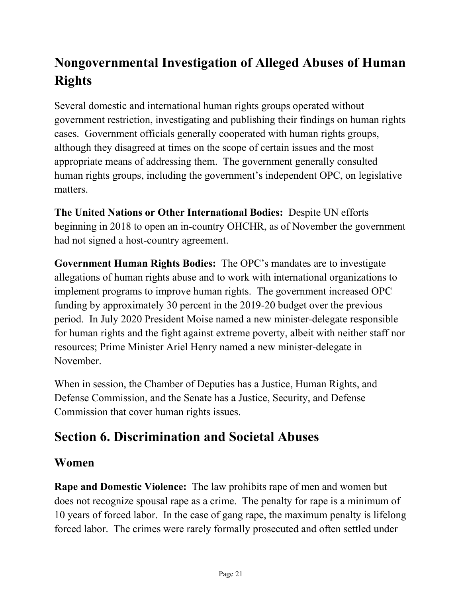# **Nongovernmental Investigation of Alleged Abuses of Human Rights**

Several domestic and international human rights groups operated without government restriction, investigating and publishing their findings on human rights cases. Government officials generally cooperated with human rights groups, although they disagreed at times on the scope of certain issues and the most appropriate means of addressing them. The government generally consulted human rights groups, including the government's independent OPC, on legislative matters.

**The United Nations or Other International Bodies:** Despite UN efforts beginning in 2018 to open an in-country OHCHR, as of November the government had not signed a host-country agreement.

**Government Human Rights Bodies:** The OPC's mandates are to investigate allegations of human rights abuse and to work with international organizations to implement programs to improve human rights. The government increased OPC funding by approximately 30 percent in the 2019-20 budget over the previous period. In July 2020 President Moise named a new minister-delegate responsible for human rights and the fight against extreme poverty, albeit with neither staff nor resources; Prime Minister Ariel Henry named a new minister-delegate in November.

When in session, the Chamber of Deputies has a Justice, Human Rights, and Defense Commission, and the Senate has a Justice, Security, and Defense Commission that cover human rights issues.

# **Section 6. Discrimination and Societal Abuses**

### **Women**

**Rape and Domestic Violence:** The law prohibits rape of men and women but does not recognize spousal rape as a crime. The penalty for rape is a minimum of 10 years of forced labor. In the case of gang rape, the maximum penalty is lifelong forced labor. The crimes were rarely formally prosecuted and often settled under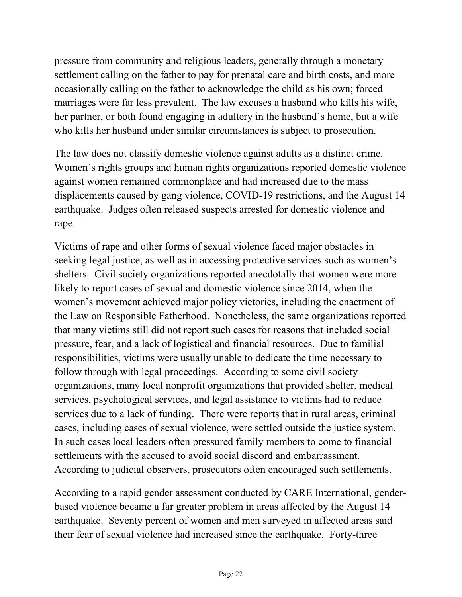pressure from community and religious leaders, generally through a monetary settlement calling on the father to pay for prenatal care and birth costs, and more occasionally calling on the father to acknowledge the child as his own; forced marriages were far less prevalent. The law excuses a husband who kills his wife, her partner, or both found engaging in adultery in the husband's home, but a wife who kills her husband under similar circumstances is subject to prosecution.

The law does not classify domestic violence against adults as a distinct crime. Women's rights groups and human rights organizations reported domestic violence against women remained commonplace and had increased due to the mass displacements caused by gang violence, COVID-19 restrictions, and the August 14 earthquake. Judges often released suspects arrested for domestic violence and rape.

Victims of rape and other forms of sexual violence faced major obstacles in seeking legal justice, as well as in accessing protective services such as women's shelters. Civil society organizations reported anecdotally that women were more likely to report cases of sexual and domestic violence since 2014, when the women's movement achieved major policy victories, including the enactment of the Law on Responsible Fatherhood. Nonetheless, the same organizations reported that many victims still did not report such cases for reasons that included social pressure, fear, and a lack of logistical and financial resources. Due to familial responsibilities, victims were usually unable to dedicate the time necessary to follow through with legal proceedings. According to some civil society organizations, many local nonprofit organizations that provided shelter, medical services, psychological services, and legal assistance to victims had to reduce services due to a lack of funding. There were reports that in rural areas, criminal cases, including cases of sexual violence, were settled outside the justice system. In such cases local leaders often pressured family members to come to financial settlements with the accused to avoid social discord and embarrassment. According to judicial observers, prosecutors often encouraged such settlements.

According to a rapid gender assessment conducted by CARE International, genderbased violence became a far greater problem in areas affected by the August 14 earthquake. Seventy percent of women and men surveyed in affected areas said their fear of sexual violence had increased since the earthquake. Forty-three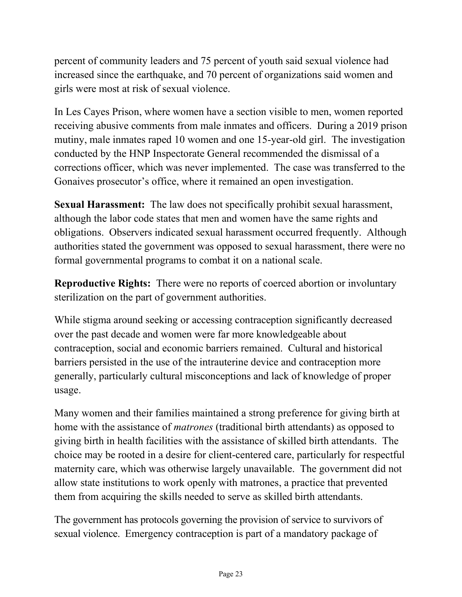percent of community leaders and 75 percent of youth said sexual violence had increased since the earthquake, and 70 percent of organizations said women and girls were most at risk of sexual violence.

In Les Cayes Prison, where women have a section visible to men, women reported receiving abusive comments from male inmates and officers. During a 2019 prison mutiny, male inmates raped 10 women and one 15-year-old girl. The investigation conducted by the HNP Inspectorate General recommended the dismissal of a corrections officer, which was never implemented. The case was transferred to the Gonaives prosecutor's office, where it remained an open investigation.

**Sexual Harassment:** The law does not specifically prohibit sexual harassment, although the labor code states that men and women have the same rights and obligations. Observers indicated sexual harassment occurred frequently. Although authorities stated the government was opposed to sexual harassment, there were no formal governmental programs to combat it on a national scale.

**Reproductive Rights:** There were no reports of coerced abortion or involuntary sterilization on the part of government authorities.

While stigma around seeking or accessing contraception significantly decreased over the past decade and women were far more knowledgeable about contraception, social and economic barriers remained. Cultural and historical barriers persisted in the use of the intrauterine device and contraception more generally, particularly cultural misconceptions and lack of knowledge of proper usage.

Many women and their families maintained a strong preference for giving birth at home with the assistance of *matrones* (traditional birth attendants) as opposed to giving birth in health facilities with the assistance of skilled birth attendants. The choice may be rooted in a desire for client-centered care, particularly for respectful maternity care, which was otherwise largely unavailable. The government did not allow state institutions to work openly with matrones, a practice that prevented them from acquiring the skills needed to serve as skilled birth attendants.

The government has protocols governing the provision of service to survivors of sexual violence. Emergency contraception is part of a mandatory package of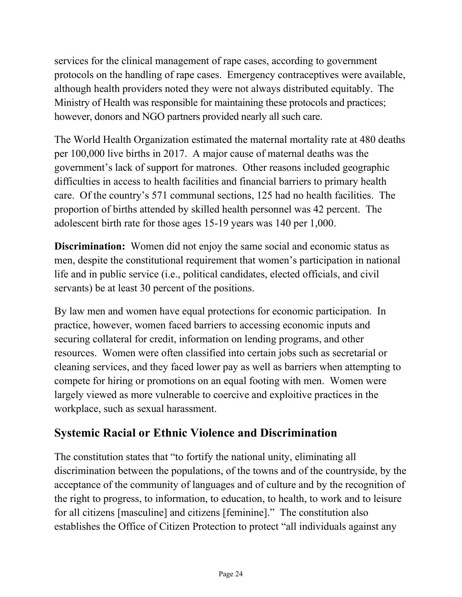services for the clinical management of rape cases, according to government protocols on the handling of rape cases. Emergency contraceptives were available, although health providers noted they were not always distributed equitably. The Ministry of Health was responsible for maintaining these protocols and practices; however, donors and NGO partners provided nearly all such care.

The World Health Organization estimated the maternal mortality rate at 480 deaths per 100,000 live births in 2017. A major cause of maternal deaths was the government's lack of support for matrones. Other reasons included geographic difficulties in access to health facilities and financial barriers to primary health care. Of the country's 571 communal sections, 125 had no health facilities. The proportion of births attended by skilled health personnel was 42 percent. The adolescent birth rate for those ages 15-19 years was 140 per 1,000.

**Discrimination:** Women did not enjoy the same social and economic status as men, despite the constitutional requirement that women's participation in national life and in public service (i.e., political candidates, elected officials, and civil servants) be at least 30 percent of the positions.

By law men and women have equal protections for economic participation. In practice, however, women faced barriers to accessing economic inputs and securing collateral for credit, information on lending programs, and other resources. Women were often classified into certain jobs such as secretarial or cleaning services, and they faced lower pay as well as barriers when attempting to compete for hiring or promotions on an equal footing with men. Women were largely viewed as more vulnerable to coercive and exploitive practices in the workplace, such as sexual harassment.

# **Systemic Racial or Ethnic Violence and Discrimination**

The constitution states that "to fortify the national unity, eliminating all discrimination between the populations, of the towns and of the countryside, by the acceptance of the community of languages and of culture and by the recognition of the right to progress, to information, to education, to health, to work and to leisure for all citizens [masculine] and citizens [feminine]." The constitution also establishes the Office of Citizen Protection to protect "all individuals against any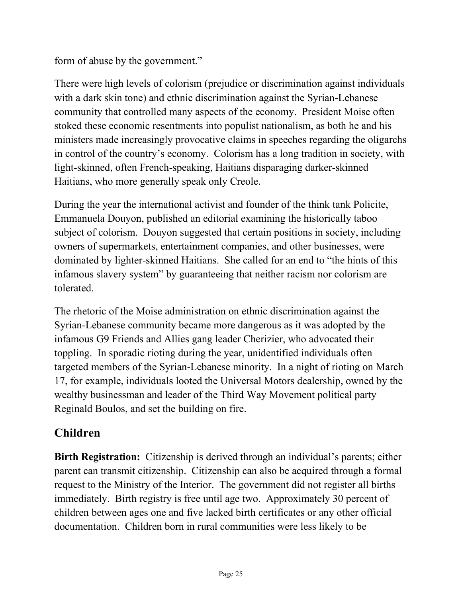form of abuse by the government."

There were high levels of colorism (prejudice or discrimination against individuals with a dark skin tone) and ethnic discrimination against the Syrian-Lebanese community that controlled many aspects of the economy. President Moise often stoked these economic resentments into populist nationalism, as both he and his ministers made increasingly provocative claims in speeches regarding the oligarchs in control of the country's economy. Colorism has a long tradition in society, with light-skinned, often French-speaking, Haitians disparaging darker-skinned Haitians, who more generally speak only Creole.

During the year the international activist and founder of the think tank Policite, Emmanuela Douyon, published an editorial examining the historically taboo subject of colorism. Douyon suggested that certain positions in society, including owners of supermarkets, entertainment companies, and other businesses, were dominated by lighter-skinned Haitians. She called for an end to "the hints of this infamous slavery system" by guaranteeing that neither racism nor colorism are tolerated.

The rhetoric of the Moise administration on ethnic discrimination against the Syrian-Lebanese community became more dangerous as it was adopted by the infamous G9 Friends and Allies gang leader Cherizier, who advocated their toppling. In sporadic rioting during the year, unidentified individuals often targeted members of the Syrian-Lebanese minority. In a night of rioting on March 17, for example, individuals looted the Universal Motors dealership, owned by the wealthy businessman and leader of the Third Way Movement political party Reginald Boulos, and set the building on fire.

# **Children**

**Birth Registration:** Citizenship is derived through an individual's parents; either parent can transmit citizenship. Citizenship can also be acquired through a formal request to the Ministry of the Interior. The government did not register all births immediately. Birth registry is free until age two. Approximately 30 percent of children between ages one and five lacked birth certificates or any other official documentation. Children born in rural communities were less likely to be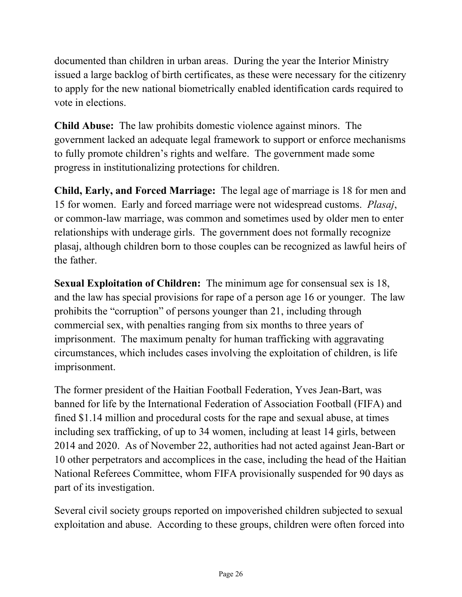documented than children in urban areas. During the year the Interior Ministry issued a large backlog of birth certificates, as these were necessary for the citizenry to apply for the new national biometrically enabled identification cards required to vote in elections.

**Child Abuse:** The law prohibits domestic violence against minors. The government lacked an adequate legal framework to support or enforce mechanisms to fully promote children's rights and welfare. The government made some progress in institutionalizing protections for children.

**Child, Early, and Forced Marriage:** The legal age of marriage is 18 for men and 15 for women. Early and forced marriage were not widespread customs. *Plasaj*, or common-law marriage, was common and sometimes used by older men to enter relationships with underage girls. The government does not formally recognize plasaj, although children born to those couples can be recognized as lawful heirs of the father.

**Sexual Exploitation of Children:** The minimum age for consensual sex is 18, and the law has special provisions for rape of a person age 16 or younger. The law prohibits the "corruption" of persons younger than 21, including through commercial sex, with penalties ranging from six months to three years of imprisonment. The maximum penalty for human trafficking with aggravating circumstances, which includes cases involving the exploitation of children, is life imprisonment.

The former president of the Haitian Football Federation, Yves Jean-Bart, was banned for life by the International Federation of Association Football (FIFA) and fined \$1.14 million and procedural costs for the rape and sexual abuse, at times including sex trafficking, of up to 34 women, including at least 14 girls, between 2014 and 2020. As of November 22, authorities had not acted against Jean-Bart or 10 other perpetrators and accomplices in the case, including the head of the Haitian National Referees Committee, whom FIFA provisionally suspended for 90 days as part of its investigation.

Several civil society groups reported on impoverished children subjected to sexual exploitation and abuse. According to these groups, children were often forced into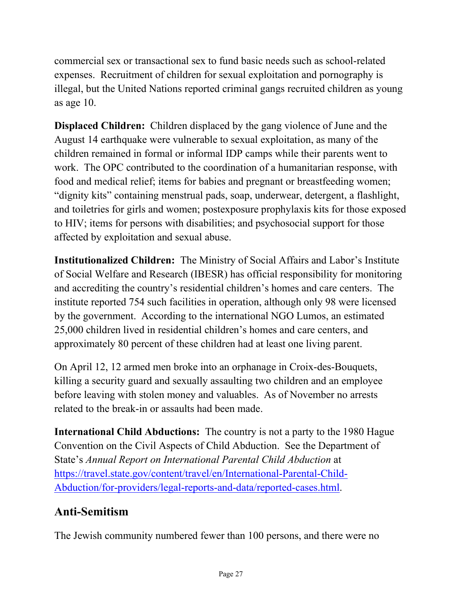commercial sex or transactional sex to fund basic needs such as school-related expenses. Recruitment of children for sexual exploitation and pornography is illegal, but the United Nations reported criminal gangs recruited children as young as age 10.

**Displaced Children:** Children displaced by the gang violence of June and the August 14 earthquake were vulnerable to sexual exploitation, as many of the children remained in formal or informal IDP camps while their parents went to work. The OPC contributed to the coordination of a humanitarian response, with food and medical relief; items for babies and pregnant or breastfeeding women; "dignity kits" containing menstrual pads, soap, underwear, detergent, a flashlight, and toiletries for girls and women; postexposure prophylaxis kits for those exposed to HIV; items for persons with disabilities; and psychosocial support for those affected by exploitation and sexual abuse.

**Institutionalized Children:** The Ministry of Social Affairs and Labor's Institute of Social Welfare and Research (IBESR) has official responsibility for monitoring and accrediting the country's residential children's homes and care centers. The institute reported 754 such facilities in operation, although only 98 were licensed by the government. According to the international NGO Lumos, an estimated 25,000 children lived in residential children's homes and care centers, and approximately 80 percent of these children had at least one living parent.

On April 12, 12 armed men broke into an orphanage in Croix-des-Bouquets, killing a security guard and sexually assaulting two children and an employee before leaving with stolen money and valuables. As of November no arrests related to the break-in or assaults had been made.

**International Child Abductions:** The country is not a party to the 1980 Hague Convention on the Civil Aspects of Child Abduction. See the Department of State's *Annual Report on International Parental Child Abduction* at [https://travel.state.gov/content/travel/en/International-Parental-Child-](https://travel.state.gov/content/travel/en/International-Parental-Child-Abduction/for-providers/legal-reports-and-data/reported-cases.html)[Abduction/for-providers/legal-reports-and-data/reported-cases.html.](https://travel.state.gov/content/travel/en/International-Parental-Child-Abduction/for-providers/legal-reports-and-data/reported-cases.html)

# **Anti-Semitism**

The Jewish community numbered fewer than 100 persons, and there were no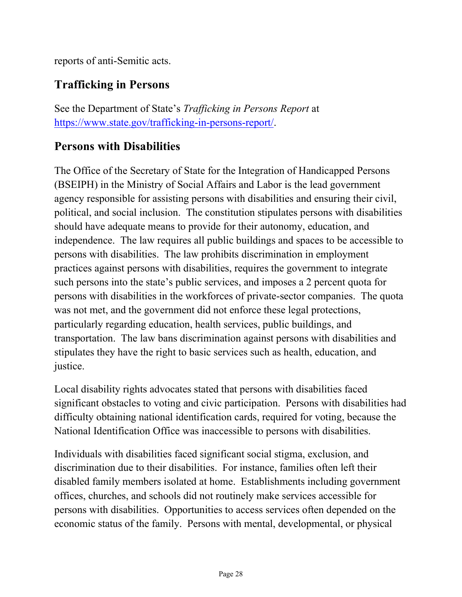reports of anti-Semitic acts.

### **Trafficking in Persons**

See the Department of State's *Trafficking in Persons Report* at [https://www.state.gov/trafficking-in-persons-report/.](https://www.state.gov/trafficking-in-persons-report/)

### **Persons with Disabilities**

The Office of the Secretary of State for the Integration of Handicapped Persons (BSEIPH) in the Ministry of Social Affairs and Labor is the lead government agency responsible for assisting persons with disabilities and ensuring their civil, political, and social inclusion. The constitution stipulates persons with disabilities should have adequate means to provide for their autonomy, education, and independence. The law requires all public buildings and spaces to be accessible to persons with disabilities. The law prohibits discrimination in employment practices against persons with disabilities, requires the government to integrate such persons into the state's public services, and imposes a 2 percent quota for persons with disabilities in the workforces of private-sector companies. The quota was not met, and the government did not enforce these legal protections, particularly regarding education, health services, public buildings, and transportation. The law bans discrimination against persons with disabilities and stipulates they have the right to basic services such as health, education, and justice.

Local disability rights advocates stated that persons with disabilities faced significant obstacles to voting and civic participation. Persons with disabilities had difficulty obtaining national identification cards, required for voting, because the National Identification Office was inaccessible to persons with disabilities.

Individuals with disabilities faced significant social stigma, exclusion, and discrimination due to their disabilities. For instance, families often left their disabled family members isolated at home. Establishments including government offices, churches, and schools did not routinely make services accessible for persons with disabilities. Opportunities to access services often depended on the economic status of the family. Persons with mental, developmental, or physical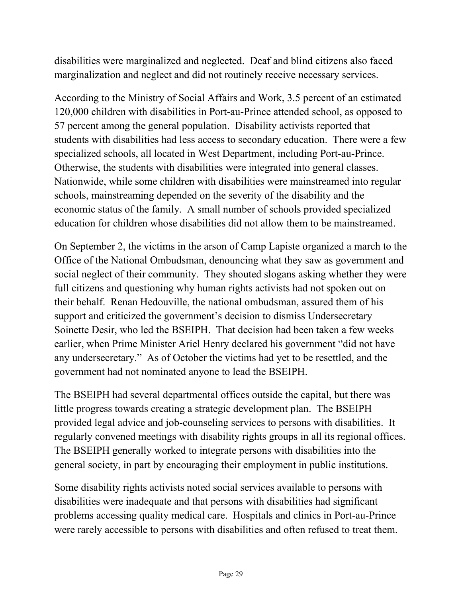disabilities were marginalized and neglected. Deaf and blind citizens also faced marginalization and neglect and did not routinely receive necessary services.

According to the Ministry of Social Affairs and Work, 3.5 percent of an estimated 120,000 children with disabilities in Port-au-Prince attended school, as opposed to 57 percent among the general population. Disability activists reported that students with disabilities had less access to secondary education. There were a few specialized schools, all located in West Department, including Port-au-Prince. Otherwise, the students with disabilities were integrated into general classes. Nationwide, while some children with disabilities were mainstreamed into regular schools, mainstreaming depended on the severity of the disability and the economic status of the family. A small number of schools provided specialized education for children whose disabilities did not allow them to be mainstreamed.

On September 2, the victims in the arson of Camp Lapiste organized a march to the Office of the National Ombudsman, denouncing what they saw as government and social neglect of their community. They shouted slogans asking whether they were full citizens and questioning why human rights activists had not spoken out on their behalf. Renan Hedouville, the national ombudsman, assured them of his support and criticized the government's decision to dismiss Undersecretary Soinette Desir, who led the BSEIPH. That decision had been taken a few weeks earlier, when Prime Minister Ariel Henry declared his government "did not have any undersecretary." As of October the victims had yet to be resettled, and the government had not nominated anyone to lead the BSEIPH.

The BSEIPH had several departmental offices outside the capital, but there was little progress towards creating a strategic development plan. The BSEIPH provided legal advice and job-counseling services to persons with disabilities. It regularly convened meetings with disability rights groups in all its regional offices. The BSEIPH generally worked to integrate persons with disabilities into the general society, in part by encouraging their employment in public institutions.

Some disability rights activists noted social services available to persons with disabilities were inadequate and that persons with disabilities had significant problems accessing quality medical care. Hospitals and clinics in Port-au-Prince were rarely accessible to persons with disabilities and often refused to treat them.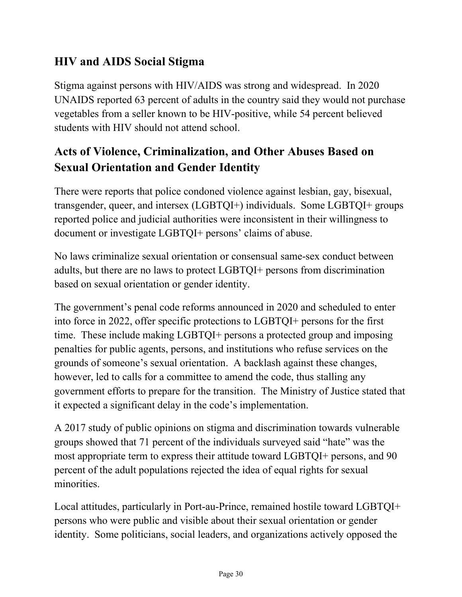### **HIV and AIDS Social Stigma**

Stigma against persons with HIV/AIDS was strong and widespread. In 2020 UNAIDS reported 63 percent of adults in the country said they would not purchase vegetables from a seller known to be HIV-positive, while 54 percent believed students with HIV should not attend school.

# **Acts of Violence, Criminalization, and Other Abuses Based on Sexual Orientation and Gender Identity**

There were reports that police condoned violence against lesbian, gay, bisexual, transgender, queer, and intersex (LGBTQI+) individuals. Some LGBTQI+ groups reported police and judicial authorities were inconsistent in their willingness to document or investigate LGBTQI+ persons' claims of abuse.

No laws criminalize sexual orientation or consensual same-sex conduct between adults, but there are no laws to protect LGBTQI+ persons from discrimination based on sexual orientation or gender identity.

The government's penal code reforms announced in 2020 and scheduled to enter into force in 2022, offer specific protections to LGBTQI+ persons for the first time. These include making LGBTQI+ persons a protected group and imposing penalties for public agents, persons, and institutions who refuse services on the grounds of someone's sexual orientation. A backlash against these changes, however, led to calls for a committee to amend the code, thus stalling any government efforts to prepare for the transition. The Ministry of Justice stated that it expected a significant delay in the code's implementation.

A 2017 study of public opinions on stigma and discrimination towards vulnerable groups showed that 71 percent of the individuals surveyed said "hate" was the most appropriate term to express their attitude toward LGBTQI+ persons, and 90 percent of the adult populations rejected the idea of equal rights for sexual minorities.

Local attitudes, particularly in Port-au-Prince, remained hostile toward LGBTQI+ persons who were public and visible about their sexual orientation or gender identity. Some politicians, social leaders, and organizations actively opposed the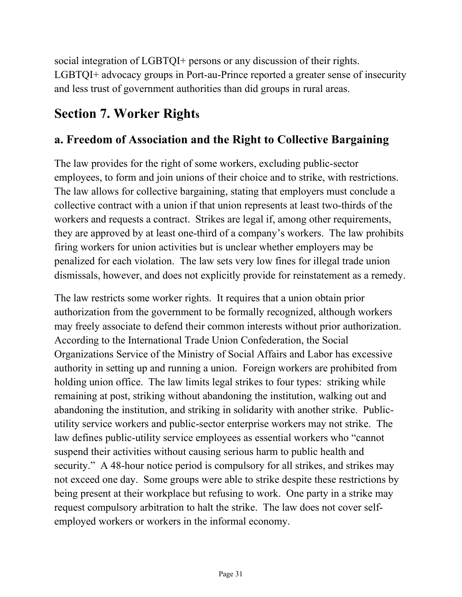social integration of LGBTQI+ persons or any discussion of their rights. LGBTQI+ advocacy groups in Port-au-Prince reported a greater sense of insecurity and less trust of government authorities than did groups in rural areas.

# **Section 7. Worker Rights**

### **a. Freedom of Association and the Right to Collective Bargaining**

The law provides for the right of some workers, excluding public-sector employees, to form and join unions of their choice and to strike, with restrictions. The law allows for collective bargaining, stating that employers must conclude a collective contract with a union if that union represents at least two-thirds of the workers and requests a contract. Strikes are legal if, among other requirements, they are approved by at least one-third of a company's workers. The law prohibits firing workers for union activities but is unclear whether employers may be penalized for each violation. The law sets very low fines for illegal trade union dismissals, however, and does not explicitly provide for reinstatement as a remedy.

The law restricts some worker rights. It requires that a union obtain prior authorization from the government to be formally recognized, although workers may freely associate to defend their common interests without prior authorization. According to the International Trade Union Confederation, the Social Organizations Service of the Ministry of Social Affairs and Labor has excessive authority in setting up and running a union. Foreign workers are prohibited from holding union office. The law limits legal strikes to four types: striking while remaining at post, striking without abandoning the institution, walking out and abandoning the institution, and striking in solidarity with another strike. Publicutility service workers and public-sector enterprise workers may not strike. The law defines public-utility service employees as essential workers who "cannot suspend their activities without causing serious harm to public health and security." A 48-hour notice period is compulsory for all strikes, and strikes may not exceed one day. Some groups were able to strike despite these restrictions by being present at their workplace but refusing to work. One party in a strike may request compulsory arbitration to halt the strike. The law does not cover selfemployed workers or workers in the informal economy.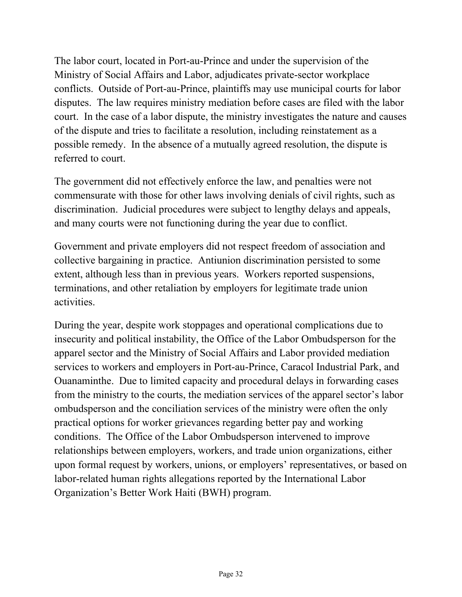The labor court, located in Port-au-Prince and under the supervision of the Ministry of Social Affairs and Labor, adjudicates private-sector workplace conflicts. Outside of Port-au-Prince, plaintiffs may use municipal courts for labor disputes. The law requires ministry mediation before cases are filed with the labor court. In the case of a labor dispute, the ministry investigates the nature and causes of the dispute and tries to facilitate a resolution, including reinstatement as a possible remedy. In the absence of a mutually agreed resolution, the dispute is referred to court.

The government did not effectively enforce the law, and penalties were not commensurate with those for other laws involving denials of civil rights, such as discrimination. Judicial procedures were subject to lengthy delays and appeals, and many courts were not functioning during the year due to conflict.

Government and private employers did not respect freedom of association and collective bargaining in practice. Antiunion discrimination persisted to some extent, although less than in previous years. Workers reported suspensions, terminations, and other retaliation by employers for legitimate trade union activities.

During the year, despite work stoppages and operational complications due to insecurity and political instability, the Office of the Labor Ombudsperson for the apparel sector and the Ministry of Social Affairs and Labor provided mediation services to workers and employers in Port-au-Prince, Caracol Industrial Park, and Ouanaminthe. Due to limited capacity and procedural delays in forwarding cases from the ministry to the courts, the mediation services of the apparel sector's labor ombudsperson and the conciliation services of the ministry were often the only practical options for worker grievances regarding better pay and working conditions. The Office of the Labor Ombudsperson intervened to improve relationships between employers, workers, and trade union organizations, either upon formal request by workers, unions, or employers' representatives, or based on labor-related human rights allegations reported by the International Labor Organization's Better Work Haiti (BWH) program.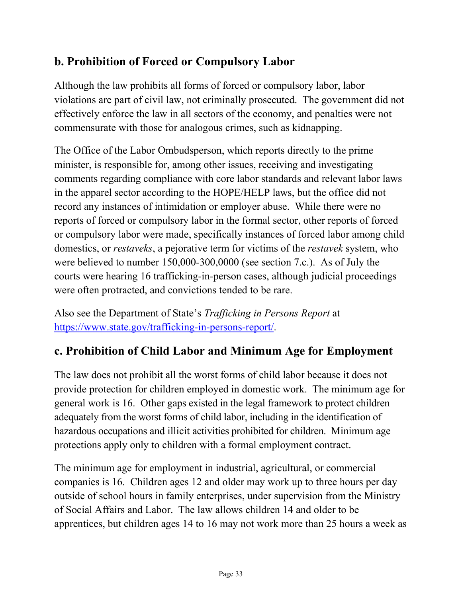# **b. Prohibition of Forced or Compulsory Labor**

Although the law prohibits all forms of forced or compulsory labor, labor violations are part of civil law, not criminally prosecuted. The government did not effectively enforce the law in all sectors of the economy, and penalties were not commensurate with those for analogous crimes, such as kidnapping.

The Office of the Labor Ombudsperson, which reports directly to the prime minister, is responsible for, among other issues, receiving and investigating comments regarding compliance with core labor standards and relevant labor laws in the apparel sector according to the HOPE/HELP laws, but the office did not record any instances of intimidation or employer abuse. While there were no reports of forced or compulsory labor in the formal sector, other reports of forced or compulsory labor were made, specifically instances of forced labor among child domestics, or *restaveks*, a pejorative term for victims of the *restavek* system, who were believed to number 150,000-300,0000 (see section 7.c.). As of July the courts were hearing 16 trafficking-in-person cases, although judicial proceedings were often protracted, and convictions tended to be rare.

Also see the Department of State's *Trafficking in Persons Report* at [https://www.state.gov/trafficking-in-persons-report/.](https://www.state.gov/trafficking-in-persons-report/)

# **c. Prohibition of Child Labor and Minimum Age for Employment**

The law does not prohibit all the worst forms of child labor because it does not provide protection for children employed in domestic work. The minimum age for general work is 16. Other gaps existed in the legal framework to protect children adequately from the worst forms of child labor, including in the identification of hazardous occupations and illicit activities prohibited for children. Minimum age protections apply only to children with a formal employment contract.

The minimum age for employment in industrial, agricultural, or commercial companies is 16. Children ages 12 and older may work up to three hours per day outside of school hours in family enterprises, under supervision from the Ministry of Social Affairs and Labor. The law allows children 14 and older to be apprentices, but children ages 14 to 16 may not work more than 25 hours a week as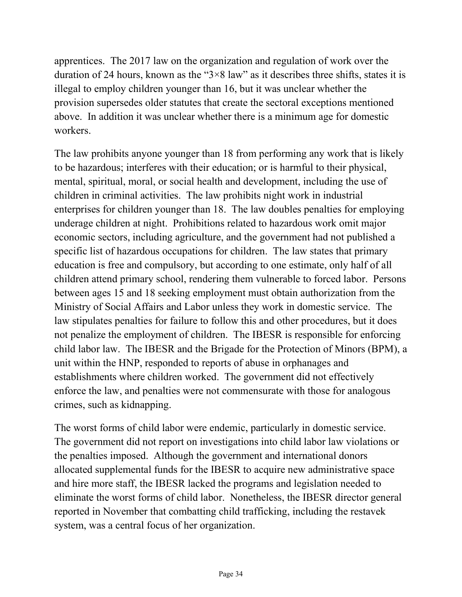apprentices. The 2017 law on the organization and regulation of work over the duration of 24 hours, known as the "3×8 law" as it describes three shifts, states it is illegal to employ children younger than 16, but it was unclear whether the provision supersedes older statutes that create the sectoral exceptions mentioned above. In addition it was unclear whether there is a minimum age for domestic workers.

The law prohibits anyone younger than 18 from performing any work that is likely to be hazardous; interferes with their education; or is harmful to their physical, mental, spiritual, moral, or social health and development, including the use of children in criminal activities. The law prohibits night work in industrial enterprises for children younger than 18. The law doubles penalties for employing underage children at night. Prohibitions related to hazardous work omit major economic sectors, including agriculture, and the government had not published a specific list of hazardous occupations for children. The law states that primary education is free and compulsory, but according to one estimate, only half of all children attend primary school, rendering them vulnerable to forced labor. Persons between ages 15 and 18 seeking employment must obtain authorization from the Ministry of Social Affairs and Labor unless they work in domestic service. The law stipulates penalties for failure to follow this and other procedures, but it does not penalize the employment of children. The IBESR is responsible for enforcing child labor law. The IBESR and the Brigade for the Protection of Minors (BPM), a unit within the HNP, responded to reports of abuse in orphanages and establishments where children worked. The government did not effectively enforce the law, and penalties were not commensurate with those for analogous crimes, such as kidnapping.

The worst forms of child labor were endemic, particularly in domestic service. The government did not report on investigations into child labor law violations or the penalties imposed. Although the government and international donors allocated supplemental funds for the IBESR to acquire new administrative space and hire more staff, the IBESR lacked the programs and legislation needed to eliminate the worst forms of child labor. Nonetheless, the IBESR director general reported in November that combatting child trafficking, including the restavek system, was a central focus of her organization.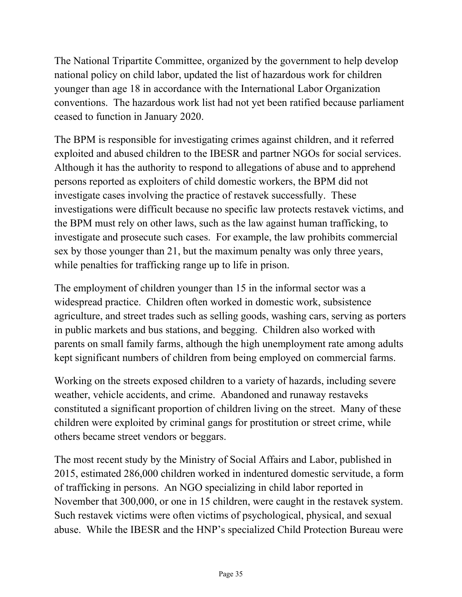The National Tripartite Committee, organized by the government to help develop national policy on child labor, updated the list of hazardous work for children younger than age 18 in accordance with the International Labor Organization conventions. The hazardous work list had not yet been ratified because parliament ceased to function in January 2020.

The BPM is responsible for investigating crimes against children, and it referred exploited and abused children to the IBESR and partner NGOs for social services. Although it has the authority to respond to allegations of abuse and to apprehend persons reported as exploiters of child domestic workers, the BPM did not investigate cases involving the practice of restavek successfully. These investigations were difficult because no specific law protects restavek victims, and the BPM must rely on other laws, such as the law against human trafficking, to investigate and prosecute such cases. For example, the law prohibits commercial sex by those younger than 21, but the maximum penalty was only three years, while penalties for trafficking range up to life in prison.

The employment of children younger than 15 in the informal sector was a widespread practice. Children often worked in domestic work, subsistence agriculture, and street trades such as selling goods, washing cars, serving as porters in public markets and bus stations, and begging. Children also worked with parents on small family farms, although the high unemployment rate among adults kept significant numbers of children from being employed on commercial farms.

Working on the streets exposed children to a variety of hazards, including severe weather, vehicle accidents, and crime. Abandoned and runaway restaveks constituted a significant proportion of children living on the street. Many of these children were exploited by criminal gangs for prostitution or street crime, while others became street vendors or beggars.

The most recent study by the Ministry of Social Affairs and Labor, published in 2015, estimated 286,000 children worked in indentured domestic servitude, a form of trafficking in persons. An NGO specializing in child labor reported in November that 300,000, or one in 15 children, were caught in the restavek system. Such restavek victims were often victims of psychological, physical, and sexual abuse. While the IBESR and the HNP's specialized Child Protection Bureau were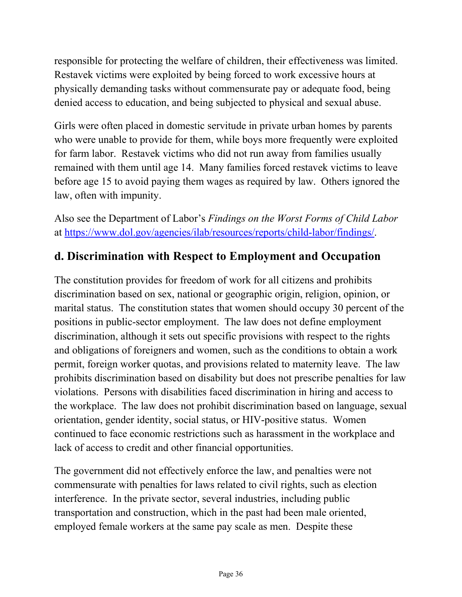responsible for protecting the welfare of children, their effectiveness was limited. Restavek victims were exploited by being forced to work excessive hours at physically demanding tasks without commensurate pay or adequate food, being denied access to education, and being subjected to physical and sexual abuse.

Girls were often placed in domestic servitude in private urban homes by parents who were unable to provide for them, while boys more frequently were exploited for farm labor. Restavek victims who did not run away from families usually remained with them until age 14. Many families forced restavek victims to leave before age 15 to avoid paying them wages as required by law. Others ignored the law, often with impunity.

Also see the Department of Labor's *Findings on the Worst Forms of Child Labor* at [https://www.dol.gov/agencies/ilab/resources/reports/child-labor/findings/.](https://www.dol.gov/agencies/ilab/resources/reports/child-labor/findings/)

### **d. Discrimination with Respect to Employment and Occupation**

The constitution provides for freedom of work for all citizens and prohibits discrimination based on sex, national or geographic origin, religion, opinion, or marital status. The constitution states that women should occupy 30 percent of the positions in public-sector employment. The law does not define employment discrimination, although it sets out specific provisions with respect to the rights and obligations of foreigners and women, such as the conditions to obtain a work permit, foreign worker quotas, and provisions related to maternity leave. The law prohibits discrimination based on disability but does not prescribe penalties for law violations. Persons with disabilities faced discrimination in hiring and access to the workplace. The law does not prohibit discrimination based on language, sexual orientation, gender identity, social status, or HIV-positive status. Women continued to face economic restrictions such as harassment in the workplace and lack of access to credit and other financial opportunities.

The government did not effectively enforce the law, and penalties were not commensurate with penalties for laws related to civil rights, such as election interference. In the private sector, several industries, including public transportation and construction, which in the past had been male oriented, employed female workers at the same pay scale as men. Despite these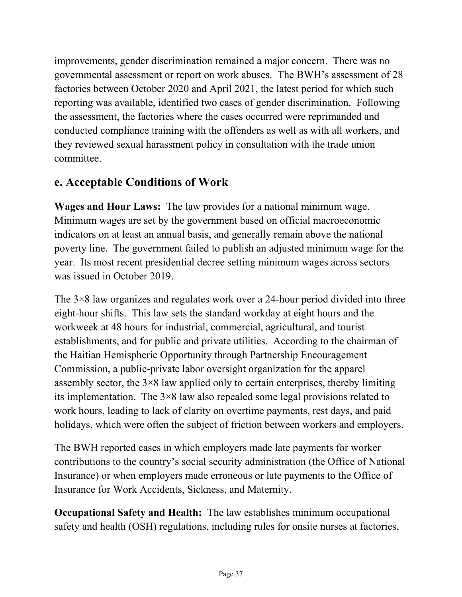improvements, gender discrimination remained a major concern. There was no governmental assessment or report on work abuses. The BWH's assessment of 28 factories between October 2020 and April 2021, the latest period for which such reporting was available, identified two cases of gender discrimination. Following the assessment, the factories where the cases occurred were reprimanded and conducted compliance training with the offenders as well as with all workers, and they reviewed sexual harassment policy in consultation with the trade union committee.

### **e. Acceptable Conditions of Work**

**Wages and Hour Laws:** The law provides for a national minimum wage. Minimum wages are set by the government based on official macroeconomic indicators on at least an annual basis, and generally remain above the national poverty line. The government failed to publish an adjusted minimum wage for the year. Its most recent presidential decree setting minimum wages across sectors was issued in October 2019.

The 3×8 law organizes and regulates work over a 24-hour period divided into three eight-hour shifts. This law sets the standard workday at eight hours and the workweek at 48 hours for industrial, commercial, agricultural, and tourist establishments, and for public and private utilities. According to the chairman of the Haitian Hemispheric Opportunity through Partnership Encouragement Commission, a public-private labor oversight organization for the apparel assembly sector, the  $3\times8$  law applied only to certain enterprises, thereby limiting its implementation. The 3×8 law also repealed some legal provisions related to work hours, leading to lack of clarity on overtime payments, rest days, and paid holidays, which were often the subject of friction between workers and employers.

The BWH reported cases in which employers made late payments for worker contributions to the country's social security administration (the Office of National Insurance) or when employers made erroneous or late payments to the Office of Insurance for Work Accidents, Sickness, and Maternity.

**Occupational Safety and Health:** The law establishes minimum occupational safety and health (OSH) regulations, including rules for onsite nurses at factories,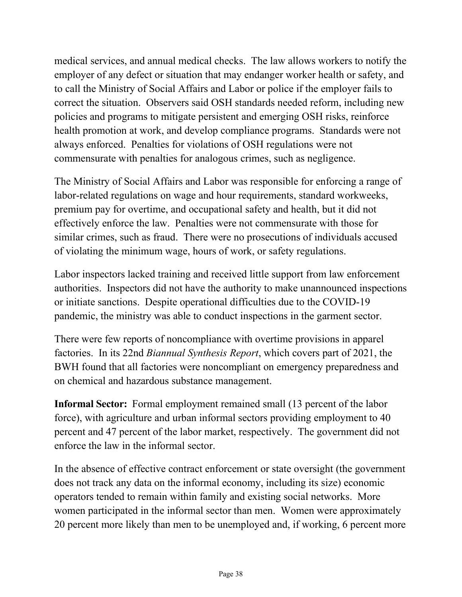medical services, and annual medical checks. The law allows workers to notify the employer of any defect or situation that may endanger worker health or safety, and to call the Ministry of Social Affairs and Labor or police if the employer fails to correct the situation. Observers said OSH standards needed reform, including new policies and programs to mitigate persistent and emerging OSH risks, reinforce health promotion at work, and develop compliance programs. Standards were not always enforced. Penalties for violations of OSH regulations were not commensurate with penalties for analogous crimes, such as negligence.

The Ministry of Social Affairs and Labor was responsible for enforcing a range of labor-related regulations on wage and hour requirements, standard workweeks, premium pay for overtime, and occupational safety and health, but it did not effectively enforce the law. Penalties were not commensurate with those for similar crimes, such as fraud. There were no prosecutions of individuals accused of violating the minimum wage, hours of work, or safety regulations.

Labor inspectors lacked training and received little support from law enforcement authorities. Inspectors did not have the authority to make unannounced inspections or initiate sanctions. Despite operational difficulties due to the COVID-19 pandemic, the ministry was able to conduct inspections in the garment sector.

There were few reports of noncompliance with overtime provisions in apparel factories. In its 22nd *Biannual Synthesis Report*, which covers part of 2021, the BWH found that all factories were noncompliant on emergency preparedness and on chemical and hazardous substance management.

**Informal Sector:** Formal employment remained small (13 percent of the labor force), with agriculture and urban informal sectors providing employment to 40 percent and 47 percent of the labor market, respectively. The government did not enforce the law in the informal sector.

In the absence of effective contract enforcement or state oversight (the government does not track any data on the informal economy, including its size) economic operators tended to remain within family and existing social networks. More women participated in the informal sector than men. Women were approximately 20 percent more likely than men to be unemployed and, if working, 6 percent more